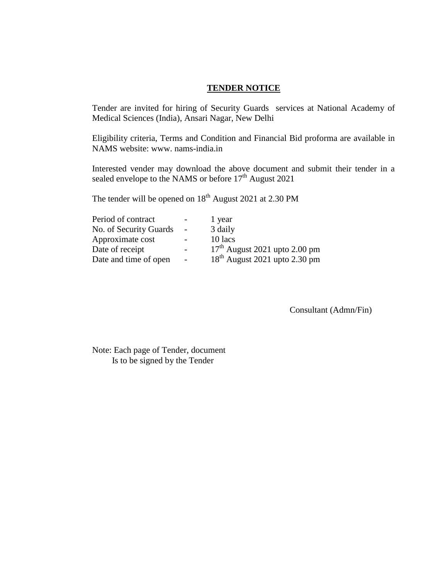#### **TENDER NOTICE**

Tender are invited for hiring of Security Guards services at National Academy of Medical Sciences (India), Ansari Nagar, New Delhi

Eligibility criteria, Terms and Condition and Financial Bid proforma are available in NAMS website: www. nams-india.in

Interested vender may download the above document and submit their tender in a sealed envelope to the NAMS or before 17<sup>th</sup> August 2021

The tender will be opened on  $18<sup>th</sup>$  August 2021 at 2.30 PM

|                          | 1 year                          |
|--------------------------|---------------------------------|
| $\overline{\phantom{a}}$ | 3 daily                         |
|                          | 10 lacs                         |
|                          | $17th$ August 2021 upto 2.00 pm |
| $\overline{\phantom{a}}$ | $18th$ August 2021 upto 2.30 pm |
|                          |                                 |

Consultant (Admn/Fin)

Note: Each page of Tender, document Is to be signed by the Tender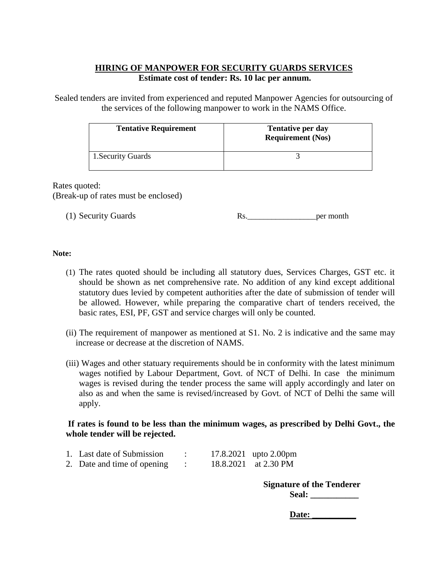# **HIRING OF MANPOWER FOR SECURITY GUARDS SERVICES Estimate cost of tender: Rs. 10 lac per annum.**

Sealed tenders are invited from experienced and reputed Manpower Agencies for outsourcing of the services of the following manpower to work in the NAMS Office.

| <b>Tentative Requirement</b> | <b>Tentative per day</b><br><b>Requirement (Nos)</b> |
|------------------------------|------------------------------------------------------|
| 1. Security Guards           |                                                      |

Rates quoted: (Break-up of rates must be enclosed)

 $(1)$  Security Guards.

| Rs | per month |
|----|-----------|
|    |           |

### **Note:**

- (1) The rates quoted should be including all statutory dues, Services Charges, GST etc. it should be shown as net comprehensive rate. No addition of any kind except additional statutory dues levied by competent authorities after the date of submission of tender will be allowed. However, while preparing the comparative chart of tenders received, the basic rates, ESI, PF, GST and service charges will only be counted.
- (ii) The requirement of manpower as mentioned at S1. No. 2 is indicative and the same may increase or decrease at the discretion of NAMS.
- (iii) Wages and other statuary requirements should be in conformity with the latest minimum wages notified by Labour Department, Govt. of NCT of Delhi. In case the minimum wages is revised during the tender process the same will apply accordingly and later on also as and when the same is revised/increased by Govt. of NCT of Delhi the same will apply.

## **If rates is found to be less than the minimum wages, as prescribed by Delhi Govt., the whole tender will be rejected.**

| 1. Last date of Submission  |  | 17.8.2021 upto 2.00pm |
|-----------------------------|--|-----------------------|
| 2. Date and time of opening |  | 18.8.2021 at 2.30 PM  |

**Signature of the Tenderer** Seal:

Date: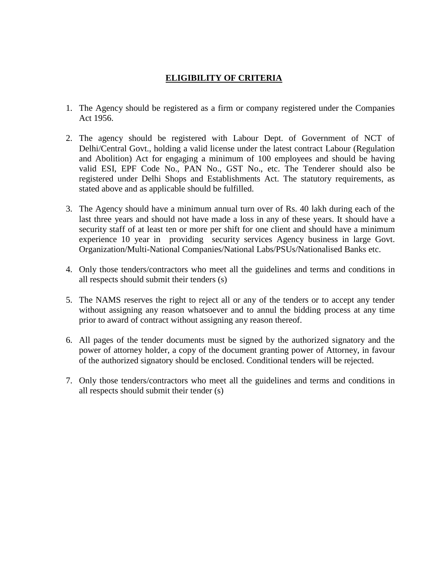# **ELIGIBILITY OF CRITERIA**

- 1. The Agency should be registered as a firm or company registered under the Companies Act 1956.
- 2. The agency should be registered with Labour Dept. of Government of NCT of Delhi/Central Govt., holding a valid license under the latest contract Labour (Regulation and Abolition) Act for engaging a minimum of 100 employees and should be having valid ESI, EPF Code No., PAN No., GST No., etc. The Tenderer should also be registered under Delhi Shops and Establishments Act. The statutory requirements, as stated above and as applicable should be fulfilled.
- 3. The Agency should have a minimum annual turn over of Rs. 40 lakh during each of the last three years and should not have made a loss in any of these years. It should have a security staff of at least ten or more per shift for one client and should have a minimum experience 10 year in providing security services Agency business in large Govt. Organization/Multi-National Companies/National Labs/PSUs/Nationalised Banks etc.
- 4. Only those tenders/contractors who meet all the guidelines and terms and conditions in all respects should submit their tenders (s)
- 5. The NAMS reserves the right to reject all or any of the tenders or to accept any tender without assigning any reason whatsoever and to annul the bidding process at any time prior to award of contract without assigning any reason thereof.
- 6. All pages of the tender documents must be signed by the authorized signatory and the power of attorney holder, a copy of the document granting power of Attorney, in favour of the authorized signatory should be enclosed. Conditional tenders will be rejected.
- 7. Only those tenders/contractors who meet all the guidelines and terms and conditions in all respects should submit their tender (s)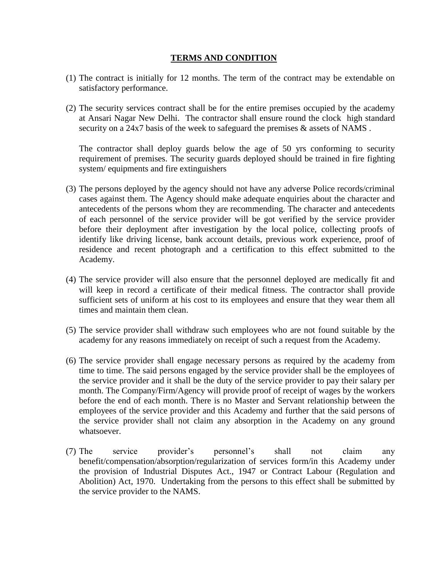### **TERMS AND CONDITION**

- (1) The contract is initially for 12 months. The term of the contract may be extendable on satisfactory performance.
- (2) The security services contract shall be for the entire premises occupied by the academy at Ansari Nagar New Delhi. The contractor shall ensure round the clock high standard security on a 24x7 basis of the week to safeguard the premises  $\&$  assets of NAMS.

The contractor shall deploy guards below the age of 50 yrs conforming to security requirement of premises. The security guards deployed should be trained in fire fighting system/ equipments and fire extinguishers

- (3) The persons deployed by the agency should not have any adverse Police records/criminal cases against them. The Agency should make adequate enquiries about the character and antecedents of the persons whom they are recommending. The character and antecedents of each personnel of the service provider will be got verified by the service provider before their deployment after investigation by the local police, collecting proofs of identify like driving license, bank account details, previous work experience, proof of residence and recent photograph and a certification to this effect submitted to the Academy.
- (4) The service provider will also ensure that the personnel deployed are medically fit and will keep in record a certificate of their medical fitness. The contractor shall provide sufficient sets of uniform at his cost to its employees and ensure that they wear them all times and maintain them clean.
- (5) The service provider shall withdraw such employees who are not found suitable by the academy for any reasons immediately on receipt of such a request from the Academy.
- (6) The service provider shall engage necessary persons as required by the academy from time to time. The said persons engaged by the service provider shall be the employees of the service provider and it shall be the duty of the service provider to pay their salary per month. The Company/Firm/Agency will provide proof of receipt of wages by the workers before the end of each month. There is no Master and Servant relationship between the employees of the service provider and this Academy and further that the said persons of the service provider shall not claim any absorption in the Academy on any ground whatsoever.
- (7) The service provider's personnel's shall not claim any benefit/compensation/absorption/regularization of services form/in this Academy under the provision of Industrial Disputes Act., 1947 or Contract Labour (Regulation and Abolition) Act, 1970. Undertaking from the persons to this effect shall be submitted by the service provider to the NAMS.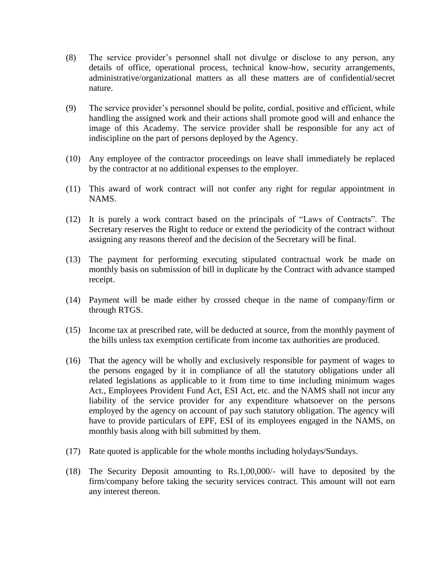- (8) The service provider's personnel shall not divulge or disclose to any person, any details of office, operational process, technical know-how, security arrangements, administrative/organizational matters as all these matters are of confidential/secret nature.
- (9) The service provider's personnel should be polite, cordial, positive and efficient, while handling the assigned work and their actions shall promote good will and enhance the image of this Academy. The service provider shall be responsible for any act of indiscipline on the part of persons deployed by the Agency.
- (10) Any employee of the contractor proceedings on leave shall immediately be replaced by the contractor at no additional expenses to the employer.
- (11) This award of work contract will not confer any right for regular appointment in NAMS.
- (12) It is purely a work contract based on the principals of "Laws of Contracts". The Secretary reserves the Right to reduce or extend the periodicity of the contract without assigning any reasons thereof and the decision of the Secretary will be final.
- (13) The payment for performing executing stipulated contractual work be made on monthly basis on submission of bill in duplicate by the Contract with advance stamped receipt.
- (14) Payment will be made either by crossed cheque in the name of company/firm or through RTGS.
- (15) Income tax at prescribed rate, will be deducted at source, from the monthly payment of the bills unless tax exemption certificate from income tax authorities are produced.
- (16) That the agency will be wholly and exclusively responsible for payment of wages to the persons engaged by it in compliance of all the statutory obligations under all related legislations as applicable to it from time to time including minimum wages Act., Employees Provident Fund Act, ESI Act, etc. and the NAMS shall not incur any liability of the service provider for any expenditure whatsoever on the persons employed by the agency on account of pay such statutory obligation. The agency will have to provide particulars of EPF, ESI of its employees engaged in the NAMS, on monthly basis along with bill submitted by them.
- (17) Rate quoted is applicable for the whole months including holydays/Sundays.
- (18) The Security Deposit amounting to Rs.1,00,000/- will have to deposited by the firm/company before taking the security services contract. This amount will not earn any interest thereon.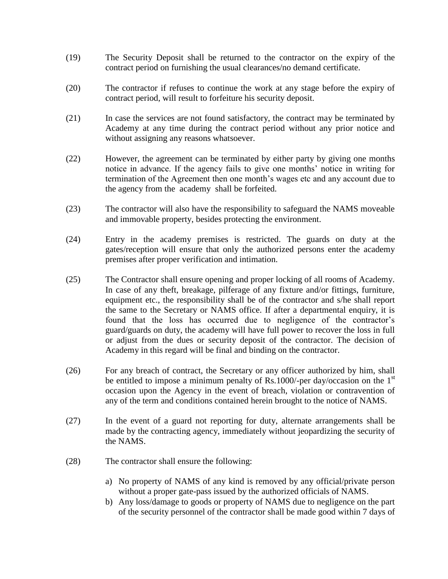- (19) The Security Deposit shall be returned to the contractor on the expiry of the contract period on furnishing the usual clearances/no demand certificate.
- (20) The contractor if refuses to continue the work at any stage before the expiry of contract period, will result to forfeiture his security deposit.
- (21) In case the services are not found satisfactory, the contract may be terminated by Academy at any time during the contract period without any prior notice and without assigning any reasons whatsoever.
- (22) However, the agreement can be terminated by either party by giving one months notice in advance. If the agency fails to give one months' notice in writing for termination of the Agreement then one month's wages etc and any account due to the agency from the academy shall be forfeited.
- (23) The contractor will also have the responsibility to safeguard the NAMS moveable and immovable property, besides protecting the environment.
- (24) Entry in the academy premises is restricted. The guards on duty at the gates/reception will ensure that only the authorized persons enter the academy premises after proper verification and intimation.
- (25) The Contractor shall ensure opening and proper locking of all rooms of Academy. In case of any theft, breakage, pilferage of any fixture and/or fittings, furniture, equipment etc., the responsibility shall be of the contractor and s/he shall report the same to the Secretary or NAMS office. If after a departmental enquiry, it is found that the loss has occurred due to negligence of the contractor's guard/guards on duty, the academy will have full power to recover the loss in full or adjust from the dues or security deposit of the contractor. The decision of Academy in this regard will be final and binding on the contractor.
- (26) For any breach of contract, the Secretary or any officer authorized by him, shall be entitled to impose a minimum penalty of Rs.1000/-per day/occasion on the  $1<sup>st</sup>$ occasion upon the Agency in the event of breach, violation or contravention of any of the term and conditions contained herein brought to the notice of NAMS.
- (27) In the event of a guard not reporting for duty, alternate arrangements shall be made by the contracting agency, immediately without jeopardizing the security of the NAMS.
- (28) The contractor shall ensure the following:
	- a) No property of NAMS of any kind is removed by any official/private person without a proper gate-pass issued by the authorized officials of NAMS.
	- b) Any loss/damage to goods or property of NAMS due to negligence on the part of the security personnel of the contractor shall be made good within 7 days of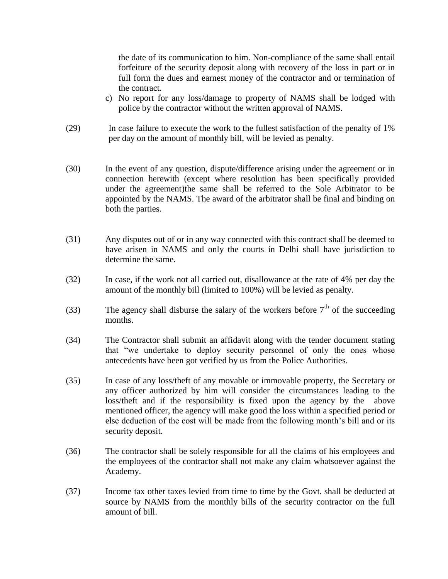the date of its communication to him. Non-compliance of the same shall entail forfeiture of the security deposit along with recovery of the loss in part or in full form the dues and earnest money of the contractor and or termination of the contract.

- c) No report for any loss/damage to property of NAMS shall be lodged with police by the contractor without the written approval of NAMS.
- (29) In case failure to execute the work to the fullest satisfaction of the penalty of 1% per day on the amount of monthly bill, will be levied as penalty.
- (30) In the event of any question, dispute/difference arising under the agreement or in connection herewith (except where resolution has been specifically provided under the agreement)the same shall be referred to the Sole Arbitrator to be appointed by the NAMS. The award of the arbitrator shall be final and binding on both the parties.
- (31) Any disputes out of or in any way connected with this contract shall be deemed to have arisen in NAMS and only the courts in Delhi shall have jurisdiction to determine the same.
- (32) In case, if the work not all carried out, disallowance at the rate of 4% per day the amount of the monthly bill (limited to 100%) will be levied as penalty.
- (33) The agency shall disburse the salary of the workers before  $7<sup>th</sup>$  of the succeeding months.
- (34) The Contractor shall submit an affidavit along with the tender document stating that "we undertake to deploy security personnel of only the ones whose antecedents have been got verified by us from the Police Authorities.
- (35) In case of any loss/theft of any movable or immovable property, the Secretary or any officer authorized by him will consider the circumstances leading to the loss/theft and if the responsibility is fixed upon the agency by the above mentioned officer, the agency will make good the loss within a specified period or else deduction of the cost will be made from the following month's bill and or its security deposit.
- (36) The contractor shall be solely responsible for all the claims of his employees and the employees of the contractor shall not make any claim whatsoever against the Academy.
- (37) Income tax other taxes levied from time to time by the Govt. shall be deducted at source by NAMS from the monthly bills of the security contractor on the full amount of bill.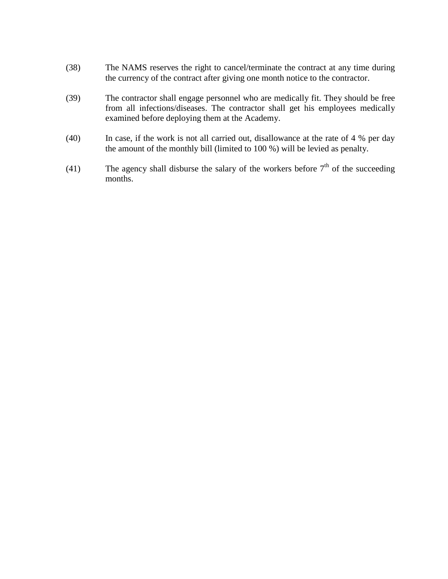- (38) The NAMS reserves the right to cancel/terminate the contract at any time during the currency of the contract after giving one month notice to the contractor.
- (39) The contractor shall engage personnel who are medically fit. They should be free from all infections/diseases. The contractor shall get his employees medically examined before deploying them at the Academy.
- (40) In case, if the work is not all carried out, disallowance at the rate of 4 % per day the amount of the monthly bill (limited to 100 %) will be levied as penalty.
- (41) The agency shall disburse the salary of the workers before  $7<sup>th</sup>$  of the succeeding months.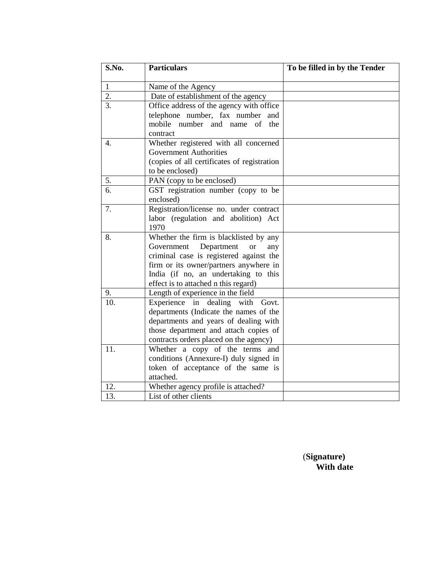| S.No.            | <b>Particulars</b>                                                                                                                                                                                                                                          | To be filled in by the Tender |
|------------------|-------------------------------------------------------------------------------------------------------------------------------------------------------------------------------------------------------------------------------------------------------------|-------------------------------|
| $\mathbf{1}$     | Name of the Agency                                                                                                                                                                                                                                          |                               |
| 2.               | Date of establishment of the agency                                                                                                                                                                                                                         |                               |
| $\overline{3}$ . | Office address of the agency with office<br>telephone number, fax number and<br>mobile number and name of the<br>contract                                                                                                                                   |                               |
| 4.               | Whether registered with all concerned<br><b>Government Authorities</b><br>(copies of all certificates of registration<br>to be enclosed)                                                                                                                    |                               |
| 5.               | PAN (copy to be enclosed)                                                                                                                                                                                                                                   |                               |
| $\overline{6}$   | GST registration number (copy to be<br>enclosed)                                                                                                                                                                                                            |                               |
| 7.               | Registration/license no. under contract<br>labor (regulation and abolition) Act<br>1970                                                                                                                                                                     |                               |
| 8.               | Whether the firm is blacklisted by any<br>Government<br>Department<br><b>or</b><br>any<br>criminal case is registered against the<br>firm or its owner/partners anywhere in<br>India (if no, an undertaking to this<br>effect is to attached n this regard) |                               |
| 9.               | Length of experience in the field                                                                                                                                                                                                                           |                               |
| 10.              | Experience in dealing with<br>Govt.<br>departments (Indicate the names of the<br>departments and years of dealing with<br>those department and attach copies of<br>contracts orders placed on the agency)                                                   |                               |
| 11.              | Whether a copy of the terms and<br>conditions (Annexure-I) duly signed in<br>token of acceptance of the same is<br>attached.                                                                                                                                |                               |
| 12.              | Whether agency profile is attached?                                                                                                                                                                                                                         |                               |
| 13.              | List of other clients                                                                                                                                                                                                                                       |                               |

 (**Signature) With date**